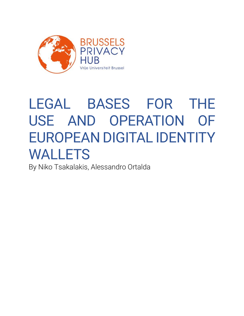

# LEGAL BASES FOR THE USE AND OPERATION OF EUROPEAN DIGITAL IDENTITY WALLETS

By Niko Tsakalakis, Alessandro Ortalda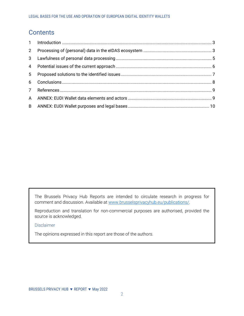# **Contents**

| $2^{\circ}$    |  |
|----------------|--|
|                |  |
|                |  |
| 5 <sub>1</sub> |  |
|                |  |
|                |  |
|                |  |
|                |  |

[The Brussels Privacy Hub Reports](#page-9-1) are intended to circulate research in progress for comment and discussion. Available at [www.brusselsprivacyhub.eu/publications/.](http://www.brusselsprivacyhub.eu/publications/)

Reproduction and translation for non-commercial purposes are authorised, provided the source is acknowledged.

Disclaimer

The opinions expressed in this report are those of the authors.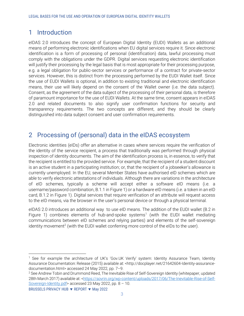# <span id="page-2-2"></span><span id="page-2-0"></span>1 Introduction

eIDAS 2.0 introduces the concept of European Digital Identity (EUDI) Wallets as an additional means of performing electronic identifications when EU digital services require it. Since electronic identification is a form of processing of personal (identification) data, lawful processing must comply with the obligations under the GDPR. Digital services requesting electronic identification will justify their processing by the legal basis that is most appropriate for their processing purpose, e.g. a legal obligation for public-sector services or performance of a contract for private-sector services. However, this is distinct from the processing performed by the EUDI Wallet itself. Since the use of EUDI Wallets is optional, in addition to existing traditional and electronic identification means, their use will likely depend on the consent of the Wallet owner (i.e. the data subject). Consent, as the agreement of the data subject of the processing of their personal data, is therefore of paramount importance for the use of EUDI Wallets. At the same time, consent appears in eIDAS 2.0 and related documents to also signify user confirmation functions for security and transparency requirements. The two concepts are different, and they should be clearly distinguished into data subject consent and user confirmation requirements.

# <span id="page-2-3"></span><span id="page-2-1"></span>2 Processing of (personal) data in the eIDAS ecosystem

Electronic identities (eIDs) offer an alternative in cases where services require the verification of the identity of the service recipient, a process that traditionally was performed through physical inspection of identity documents. The aim of the identification process is, in essence, to verify that the recipient is entitled to the provided service. For example, that the recipient of a student discount is an active student in a participating institution; or, that the recipient of a jobseeker's allowance is currently unemployed. In the EU, several Member States have authorised eID schemes which are able to verify electronic attestations of individuals. Although there are variations in the architecture of eID schemes, typically a scheme will accept either a software eID means (i.e. a username/password combination, B.1.1 i[n Figure 1](#page-3-0)[\) or a h](#page-3-1)ardware eID means (i.e. a token in an eID card, B.1.2 in [Figure 1\)](#page-3-0). [Digit](#page-3-1)al services that require verification of an attribute will request access to the eID means, via the browser in the user's personal device or through a physical terminal.

eIDAS 2.0 introduces an additional way to use eID means. The addition of the EUDI wallet (B.2 in [Figure 1\)](#page-3-0) [combin](#page-3-1)es elements of hub-and-spoke systems<sup>1</sup> (with the EUDI wallet mediating communications between eID schemes and relying parties) and elements of the self-sovereign identity movement<sup>2</sup> (with the EUDI wallet conferring more control of the eIDs to the user).

<sup>1</sup> See for example the architecture of UK's 'Gov.UK Verify' system: Identity Assurance Team, Identity Assurance Documentation: Release (2015) available at: <http://docplayer.net/21642604-Identity-assurancedocumentation.html> accessed 24 May 2022, pp. 7–9.

<sup>&</sup>lt;sup>2</sup> See Andrew Tobin and Drummond Reed, The Inevitable Rise of Self-Sovereign Identity (whitepaper, updated 28th March 2017) available at: [<https://sovrin.org/wp-content/uploads/2017/06/The-Inevitable-Rise-of-Self-](https://sovrin.org/wp-content/uploads/2017/06/The-Inevitable-Rise-of-Self-Sovereign-Identity.pdf)[Sovereign-Identity.pdf>](https://sovrin.org/wp-content/uploads/2017/06/The-Inevitable-Rise-of-Self-Sovereign-Identity.pdf) accessed 23 May 2022, pp. 8 – 10.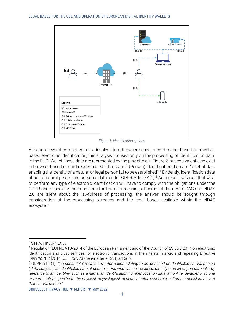

<span id="page-3-1"></span>*Figure 1: Identification options*

<span id="page-3-0"></span>Although several components are involved in a browser-based, a card-reader-based or a walletbased electronic identification, this analysis focuses only on the processing of identification data. In the EUDI Wallet, these data are represented by the pink circle in [Figure 2](#page-4-2)[, but eq](#page-4-3)uivalent also exist in browser-based or card-reader based eID means.<sup>3</sup> (Person) identification data are "a set of data enabling the identity of a natural or legal person […] to be established". <sup>4</sup> Evidently, identification data about a natural person are personal data, under GDPR Article  $4(1)$ .<sup>5</sup> As a result, services that wish to perform any type of electronic identification will have to comply with the obligations under the GDPR and especially the conditions for lawful processing of personal data. As eIDAS and eIDAS 2.0 are silent about the lawfulness of processing, the answer should be sought through consideration of the processing purposes and the legal bases available within the eIDAS ecosystem.

<sup>3</sup> Se[e A.1](#page-8-4) in ANNEX A.

<sup>4</sup> Regulation (EU) No 910/2014 of the European Parliament and of the Council of 23 July 2014 on electronic identification and trust services for electronic transactions in the internal market and repealing Directive 1999/93/EC [2014] OJ L257/73 (hereinafter eIDAS) art 3(3).

<sup>5</sup> GDPR art 4(1): *"'personal data' means any information relating to an identified or identifiable natural person ('data subject'); an identifiable natural person is one who can be identified, directly or indirectly, in particular by reference to an identifier such as a name, an identification number, location data, an online identifier or to one or more factors specific to the physical, physiological, genetic, mental, economic, cultural or social identity of that natural person;"*

BRUSSELS PRIVACY HUB ▼ REPORT ▼ May 2022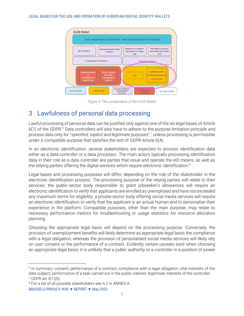#### LEGAL BASES FOR THE USE AND OPERATION OF EUROPEAN DIGITAL IDENTITY WALLETS



<span id="page-4-3"></span><span id="page-4-2"></span><span id="page-4-1"></span>*Figure 2: The components of the EUDI Wallet*

## <span id="page-4-0"></span>3 Lawfulness of personal data processing

Lawful processing of personal data can be justified only against one of the six legal bases of Article  $6(1)$  of the GDPR.<sup>6</sup> Data controllers will also have to adhere to the purpose limitation principle and process data only for "*specified, explicit and legitimate purposes*", <sup>7</sup> unless processing is permissible under a compatible purpose that satisfies the test of GDPR Article 6(4).

In an electronic identification, several stakeholders are expected to process identification data either as a data controller or a data processor. The main actors typically processing identification data in their role as a data controller are parties that issue and operate the eID means, as well as the relying parties offering the digital services which require electronic identification.<sup>8</sup>

Legal bases and processing purposes will differ, depending on the role of the stakeholder in the electronic identification process. The processing purpose of the relying parties will relate to their services: the public-sector body responsible to grant jobseeker's allowances will require an electronic identification to verify that applicants are enrolled as unemployed and have not exceeded any maximum terms for eligibility; a private-sector body offering social media services will require an electronic identification to verify that the applicant is an actual human and to personalise their experience in the platform. Compatible purposes, other than the main purpose, may relate to necessary performance metrics for troubleshooting or usage statistics for resource allocation planning.

Choosing the appropriate legal basis will depend on the processing purpose. Conversely, the provision of unemployment benefits will likely determine as appropriate legal basis the compliance with a legal obligation, whereas the provision of personalised social media services will likely rely on user consent or the performance of a contract. Evidently certain caveats exist when choosing an appropriate legal basis: it is unlikely that a public authority or a controller in a position of power

<sup>&</sup>lt;sup>6</sup> In summary: consent; performance of a contract; compliance with a legal obligation; vital interests of the data subject; performance of a task carried out in the public interest; legitimate interests of the controller.  $7$  GDPR art  $5(1)(b)$ .

<sup>&</sup>lt;sup>8</sup> For a list of all possible stakeholders see [A.2](#page-8-5) in ANNEX A.

BRUSSELS PRIVACY HUB ▼ REPORT ▼ May 2022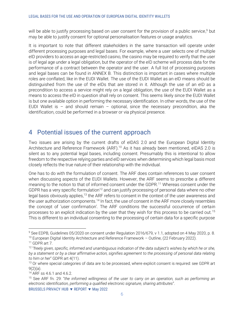will be able to justify processing based on user consent for the provision of a public service, <sup>9</sup> but may be able to justify consent for optional personalisation features or usage analytics.

It is important to note that different stakeholders in the same transaction will operate under different processing purposes and legal bases. For example, where a user selects one of multiple eID providers to access an age-restricted casino, the casino may be required to verify that the user is of legal age under a legal obligation, but the operator of the eID scheme will process data for the performance of a contract between the operator and the user. A full list of processing purposes and legal bases can be found in ANNEX B. This distinction is important in cases where multiple roles are conflated, like in the EUDI Wallet. The use of the EUDI Wallet as an eID means should be distinguished from the use of the eIDs that are stored in it. Although the use of an eID as a precondition to access a service might rely on a legal obligation, the use of the EUDI Wallet as a means to access the eID in question shall rely on consent. This seems likely since the EUDI Wallet is but one available option in performing the necessary identification. In other words, the use of the EUDI Wallet is  $-$  and should remain  $-$  optional, since the necessary precondition, aka the identification, could be performed in a browser or via physical presence.

## <span id="page-5-1"></span><span id="page-5-0"></span>4 Potential issues of the current approach

Two issues are arising by the current drafts of eIDAS 2.0 and the European Digital Identity Architecture and Reference Framework (ARF).<sup>10</sup> As it has already been mentioned, eIDAS 2.0 is silent as to any potential legal bases, including consent. Presumably this is intentional to allow freedom to the respective relying parties and eID services when determining which legal basis most closely reflects the true nature of their relationship with the individual.

One has to do with the formulation of consent. The ARF does contain references to user consent when discussing aspects of the EUDI Wallets. However, the ARF seems to prescribe a different meaning to the notion to that of informed consent under the GDPR.<sup>11</sup> Whereas consent under the GDPR has a very specific formulation<sup>12</sup> and can justify processing of personal data where no other legal basis obviously applies,<sup>13</sup> the ARF refers to consent in the context of the user awareness and the user authorization components.<sup>14</sup> In fact, the use of consent in the ARF more closely resembles the concept of 'user confirmation'. The ARF conditions the successful occurrence of certain processes to an explicit indication by the user that they wish for this process to be carried out.<sup>15</sup> This is different to an individual consenting to the processing of certain data for a specific purpose

<sup>&</sup>lt;sup>9</sup> See EDPB, Guidelines 05/2020 on consent under Regulation 2016/679, v 1.1, adopted on 4 May 2020, p. 8. <sup>10</sup> European Digital Identity Architecture and Reference Framework – Outline, (22 February 2022).

<sup>11</sup> GDPR art 7.

<sup>12</sup> "*freely given, specific, informed and unambiguous indication of the data subject's wishes by which he or she, by a statement or by a clear affirmative action, signifies agreement to the processing of personal data relating to him or her*" GDPR art 4(11).

<sup>&</sup>lt;sup>13</sup> Or where special categories of data are to be processed, where explicit consent is required: see GDPR art  $9(2)(a)$ .

<sup>14</sup> ARF ss 4.6.1 and 4.6.2.

<sup>15</sup> See ARF fn. 29: "*the informed willingness of the user to carry on an operation, such as performing an electronic identification, performing a qualified electronic signature, sharing attributes*".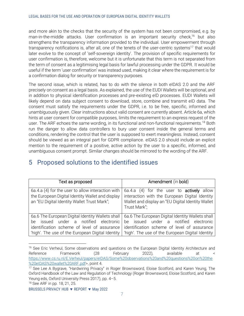and more akin to the checks that the security of the system has not been compromised, e.g. by man-in-the-middle attacks. User confirmation is an important security check,<sup>16</sup> but also strengthens the transparency information provided to the individual. User empowerment through transparency notifications is, after all, one of the tenets of the user-centric systems<sup>17</sup> that would later evolve to the concept of 'self-sovereign identity'. The provision of specific requirements for user confirmation is, therefore, welcome but it is unfortunate that this term is not separated from the term of consent as a legitimising legal basis for lawful processing under the GDPR. It would be useful if the term 'user confirmation' was instead used, making it clear where the requirement is for a confirmation dialog for security or transparency purposes.

The second issue, which is related, has to do with the silence in both eIDAS 2.0 and the ARF precisely on consent as a legal basis. As explained, the use of the EUDI Wallets will be optional, and in addition to physical identification processes and pre-existing eID processes. EUDI Wallets will likely depend on data subject consent to download, store, combine and transmit eID data. The consent must satisfy the requirements under the GDPR, i.e. to be free, specific, informed and unambiguously given. Clear instructions about valid consent are currently absent. Article 6a, which hints at user consent for compatible purposes, limits the requirement to an express request of the user. The ARF echoes the same wording, in its functional and non-functional requirements.<sup>18</sup> Both run the danger to allow data controllers to bury user consent inside the general terms and conditions, rendering the control that the user is supposed to exert meaningless. Instead, consent should be viewed as an integral part for GDPR compliance. eIDAS 2.0 should include an explicit mention to the requirement of a positive, active action by the user to a specific, informed, and unambiguous consent prompt. Similar changes should be mirrored to the wording of the ARF.

| Text as proposed                                                                                                                                                                                 | Amendment (in bold)                                                                                                                                                                              |  |
|--------------------------------------------------------------------------------------------------------------------------------------------------------------------------------------------------|--------------------------------------------------------------------------------------------------------------------------------------------------------------------------------------------------|--|
| 6a.4.a (4) for the user to allow interaction with<br>the European Digital Identity Wallet and display<br>an "EU Digital Identity Wallet Trust Mark";                                             | 6a.4.a (4) for the user to <b>actively</b> allow<br>interaction with the European Digital Identity<br>Wallet and display an "EU Digital Identity Wallet<br>Trust Mark";                          |  |
| 6a.6 The European Digital Identity Wallets shall<br>issued under a notified electronic<br>be.<br>identification scheme of level of assurance<br>'high'. The use of the European Digital Identity | 6a.6 The European Digital Identity Wallets shall<br>issued under a notified electronic<br>he.<br>identification scheme of level of assurance<br>'high'. The use of the European Digital Identity |  |

# <span id="page-6-1"></span><span id="page-6-0"></span>5 Proposed solutions to the identified issues

```
18 See ARF in pp. 18, 21, 25.
```
<sup>&</sup>lt;sup>16</sup> See Eric Verheul, Some observations and questions on the European Digital Identity Architecture and Reference Framework (28 February 2022), available at < [https://www.cs.ru.nl/E.Verheul/papers/eIDAS/Some%20observations%20and%20questions%20on%20the](https://www.cs.ru.nl/E.Verheul/papers/eIDAS/Some%20observations%20and%20questions%20on%20the%20eIDAS%20wallet%20ARF.pdf) [%20eIDAS%20wallet%20ARF.pdf>](https://www.cs.ru.nl/E.Verheul/papers/eIDAS/Some%20observations%20and%20questions%20on%20the%20eIDAS%20wallet%20ARF.pdf), point 4.

<sup>17</sup> See Lee A Bygrave, "Hardwiring Privacy" in Roger Brownsword, Eloise Scotford, and Karen Yeung, The Oxford Handbook of the Law and Regulation of Technology (Roger Brownsword, Eloise Scotford, and Karen Yeung eds, Oxford University Press 2017), pp. 4–5.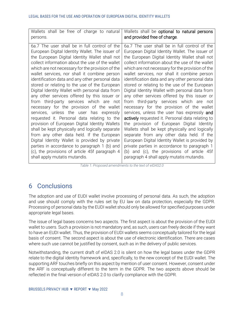| persons.<br>6a.7 The user shall be in full control of the<br>6a.7 The user shall be in full control of the<br>European Digital Identity Wallet. The issuer of<br>European Digital Identity Wallet. The issuer of<br>the European Digital Identity Wallet shall not<br>the European Digital Identity Wallet shall not<br>collect information about the use of the wallet<br>collect information about the use of the wallet<br>which are not necessary for the provision of the<br>which are not necessary for the provision of the<br>wallet services, nor shall it combine person<br>wallet services, nor shall it combine person<br>identification data and any other personal data<br>identification data and any other personal data<br>stored or relating to the use of the European<br>stored or relating to the use of the European<br>Digital Identity Wallet with personal data from<br>Digital Identity Wallet with personal data from<br>any other services offered by this issuer or<br>any other services offered by this issuer or<br>from third-party services which are not<br>from third-party services which are not<br>necessary for the provision of the wallet<br>necessary for the provision of the wallet<br>services, unless the user has expressly and<br>services, unless the user has expressly<br>actively requested it. Personal data relating to<br>requested it. Personal data relating to the<br>provision of European Digital Identity Wallets<br>the provision of European Digital Identity<br>shall be kept physically and logically separate<br>Wallets shall be kept physically and logically | Wallets shall be free of charge to natural | Wallets shall be optional to natural persons |
|------------------------------------------------------------------------------------------------------------------------------------------------------------------------------------------------------------------------------------------------------------------------------------------------------------------------------------------------------------------------------------------------------------------------------------------------------------------------------------------------------------------------------------------------------------------------------------------------------------------------------------------------------------------------------------------------------------------------------------------------------------------------------------------------------------------------------------------------------------------------------------------------------------------------------------------------------------------------------------------------------------------------------------------------------------------------------------------------------------------------------------------------------------------------------------------------------------------------------------------------------------------------------------------------------------------------------------------------------------------------------------------------------------------------------------------------------------------------------------------------------------------------------------------------------------------------------------------------------------------------------------|--------------------------------------------|----------------------------------------------|
|                                                                                                                                                                                                                                                                                                                                                                                                                                                                                                                                                                                                                                                                                                                                                                                                                                                                                                                                                                                                                                                                                                                                                                                                                                                                                                                                                                                                                                                                                                                                                                                                                                    |                                            | and provided free of charge.                 |
| Digital Identity Wallet is provided by private<br>European Digital Identity Wallet is provided by<br>private parties in accordance to paragraph 1<br>parties in accordance to paragraph 1 (b) and<br>(c), the provisions of article 45f paragraph 4<br>(b) and (c), the provisions of article 45f<br>shall apply mutatis mutandis.<br>paragraph 4 shall apply mutatis mutandis.                                                                                                                                                                                                                                                                                                                                                                                                                                                                                                                                                                                                                                                                                                                                                                                                                                                                                                                                                                                                                                                                                                                                                                                                                                                    | from any other data held. If the European  | separate from any other data held. If the    |

<span id="page-7-1"></span>*Table 1: Proposed amendments to the text of eIDAS2.0*

# <span id="page-7-0"></span>6 Conclusions

The adoption and use of EUDI wallet involve processing of personal data. As such, the adoption and use should comply with the rules set by EU law on data protection, especially the GDPR. Processing of personal data by the EUDI wallet should only be allowed for specified purposes under appropriate legal bases.

The issue of legal bases concerns two aspects. The first aspect is about the provision of the EUDI wallet to users. Such a provision is not mandatory and, as such, users can freely decide if they want to have an EUDI wallet. Thus, the provision of EUDI wallets seems conceptually tailored for the legal basis of consent. The second aspect is about the use of electronic identification. There are cases where such use cannot be justified by consent, such as in the delivery of public services.

Notwithstanding, the current draft of eIDAS 2.0 is silent on how the legal bases under the GDPR relate to the digital identity framework and, specifically, to the new concept of the EUDI wallet. The supporting ARF touches briefly on this aspect by mention of user consent. However, consent under the ARF is conceptually different to the term in the GDPR. The two aspects above should be reflected in the final version of eIDAS 2.0 to clarify compliance with the GDPR.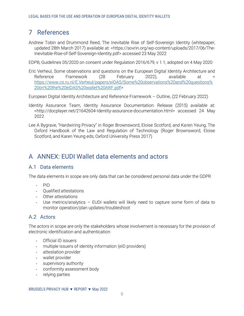# <span id="page-8-2"></span><span id="page-8-0"></span>7 References

Andrew Tobin and Drummond Reed, The Inevitable Rise of Self-Sovereign Identity (whitepaper, updated 28th March 2017) available at: <https://sovrin.org/wp-content/uploads/2017/06/The-Inevitable-Rise-of-Self-Sovereign-Identity.pdf> accessed 23 May 2022

EDPB, Guidelines 05/2020 on consent under Regulation 2016/679, v 1.1, adopted on 4 May 2020

Eric Verheul, Some observations and questions on the European Digital Identity Architecture and Reference Framework (28 February 2022), available at < [https://www.cs.ru.nl/E.Verheul/papers/eIDAS/Some%20observations%20and%20questions%](https://www.cs.ru.nl/E.Verheul/papers/eIDAS/Some%20observations%20and%20questions%20on%20the%20eIDAS%20wallet%20ARF.pdf) [20on%20the%20eIDAS%20wallet%20ARF.pdf>](https://www.cs.ru.nl/E.Verheul/papers/eIDAS/Some%20observations%20and%20questions%20on%20the%20eIDAS%20wallet%20ARF.pdf)

European Digital Identity Architecture and Reference Framework – Outline, (22 February 2022)

- Identity Assurance Team, Identity Assurance Documentation: Release (2015) available at: <http://docplayer.net/21642604-Identity-assurance-documentation.html> accessed 24 May 2022
- Lee A Bygrave, "Hardwiring Privacy" in Roger Brownsword, Eloise Scotford, and Karen Yeung, The Oxford Handbook of the Law and Regulation of Technology (Roger Brownsword, Eloise Scotford, and Karen Yeung eds, Oxford University Press 2017)

# <span id="page-8-1"></span>A ANNEX: EUDI Wallet data elements and actors

#### <span id="page-8-4"></span>A.1 Data elements

The data elements in scope are only data that can be considered personal data under the GDPR

- <span id="page-8-3"></span>- PID
- Qualified attestations
- Other attestations
- Use metrics/analytics EUDI wallets will likely need to capture some form of data to monitor operation/plan updates/troubleshoot

#### <span id="page-8-5"></span>A.2 Actors

The actors in scope are only the stakeholders whose involvement is necessary for the provision of electronic identification and authentication

- Official ID issuers
- multiple issuers of identity information (eID providers)
- attestation provider
- wallet provider
- supervisory authority
- conformity assessment body
- relying parties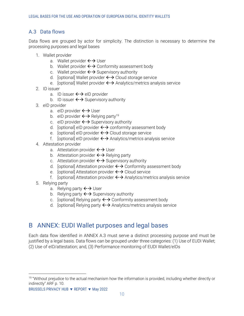#### <span id="page-9-3"></span><span id="page-9-2"></span>A.3 Data flows

Data flows are grouped by actor for simplicity. The distinction is necessary to determine the processing purposes and legal bases

- 1. Wallet provider
	- a. Wallet provider  $\leftarrow \rightarrow \cup$ ser
	- b. Wallet provider  $\leftrightarrow$  Conformity assessment body
	- c. Wallet provider  $\leftrightarrow$  Supervisory authority
	- d. [optional] Wallet provider  $\leftrightarrow$  Cloud storage service
	- e. [optional] Wallet provider  $\leftrightarrow$  Analytics/metrics analysis service
- 2. ID issuer
	- a. ID issuer  $\leftarrow$  eID provider
	- b. ID issuer  $\leftrightarrow$  Supervisory authority
- 3. eID provider
	- a. eID provider  $\leftarrow \rightarrow \mathsf{User}$
	- b. eID provider  $\leftrightarrow$  Relying party<sup>19</sup>
	- c. eID provider  $\leftrightarrow$  Supervisory authority
	- d. [optional] eID provider  $\leftrightarrow$  conformity assessment body
	- e. [optional] eID provider  $\leftrightarrow$  Cloud storage service
	- f. [optional] eID provider  $\leftrightarrow$  Analytics/metrics analysis service
- 4. Attestation provider
	- a. Attestation provider  $\leftrightarrow$  User
	- b. Attestation provider  $\leftarrow$  Relying party
	- c. Attestation provider  $\leftarrow$  Supervisory authority
	- d. [optional] Attestation provider  $\leftrightarrow$  Conformity assessment body
	- e. [optional] Attestation provider  $\leftrightarrow$  Cloud service
	- f. [optional] Attestation provider  $\leftrightarrow$  Analytics/metrics analysis service
- <span id="page-9-1"></span>5. Relying party
	- a. Relying party  $\leftrightarrow$  User
	- b. Relying party  $\leftrightarrow$  Supervisory authority
	- c. [optional] Relying party  $\leftrightarrow$  Conformity assessment body
	- d. [optional] Relying party  $\leftrightarrow$  Analytics/metrics analysis service

## <span id="page-9-0"></span>B ANNEX: EUDI Wallet purposes and legal bases

Each data flow identified in ANNEX [A.3](#page-9-2) [mu](#page-9-3)st serve a distinct processing purpose and must be justified by a legal basis. Data flows can be grouped under three categories: (1) Use of EUDI Wallet; (2) Use of eID/attestation; and, (3) Performance monitoring of EUDI Wallet/eIDs

<sup>&</sup>lt;sup>19</sup> "Without prejudice to the actual mechanism how the information is provided, including whether directly or indirectly" ARF p. 10.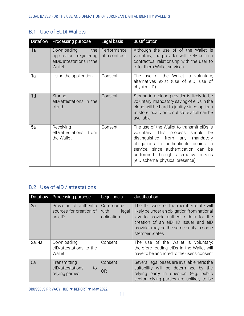#### B.1 Use of EUDI Wallets

| Dataflow       | Processing purpose                                                                   | Legal basis                  | Justification                                                                                                                                                                                                                                                                    |
|----------------|--------------------------------------------------------------------------------------|------------------------------|----------------------------------------------------------------------------------------------------------------------------------------------------------------------------------------------------------------------------------------------------------------------------------|
| 1a             | the<br>Downloading<br>application; registering<br>elDs/attestations in the<br>Wallet | Performance<br>of a contract | Although the use of of the Wallet is<br>voluntary, the provider will likely be in a<br>contractual relationship with the user to<br>offer them Wallet services                                                                                                                   |
| 1a             | Using the application                                                                | Consent                      | The use of the Wallet is voluntary;<br>alternatives exist (use of eID, use of<br>physical ID)                                                                                                                                                                                    |
| 1 <sub>d</sub> | Storing<br>elD/attestations in the<br>cloud                                          | Consent                      | Storing in a cloud provider is likely to be<br>voluntary; mandatory saving of elDs in the<br>cloud will be hard to justify since options<br>to store locally or to not store at all can be<br>available                                                                          |
| 5a             | Receiving<br>eID/attestations<br>from<br>the Wallet                                  | Consent                      | The use of the Wallet to transmit elDs is<br>voluntary. This process should<br>be<br>distinguished from any mandatory<br>obligations to authenticate against a<br>service, since authentication can be<br>performed through alternative means<br>(eID scheme; physical presence) |

#### B.2 Use of eID / attestations

| <b>Dataflow</b> | Processing purpose                                          | Legal basis                               | Justification                                                                                                                                                                                                                              |
|-----------------|-------------------------------------------------------------|-------------------------------------------|--------------------------------------------------------------------------------------------------------------------------------------------------------------------------------------------------------------------------------------------|
| 2a              | Provision of authentic<br>sources for creation of<br>an eID | Compliance<br>with<br>legal<br>obligation | The ID issuer of the member state will<br>likely be under an obligation from national<br>law to provide authentic data for the<br>creation of an eID; ID issuer and eID<br>provider may be the same entity in some<br><b>Member States</b> |
| 3a; 4a          | Downloading<br>elD/attestations to the<br>Wallet            | Consent                                   | The use of the Wallet is voluntary;<br>therefore loading eIDs in the Wallet will<br>have to be anchored to the user's consent                                                                                                              |
| 5a              | Transmitting<br>elD/attestations<br>to<br>relying parties   | Consent<br><b>OR</b>                      | Several legal bases are available here; the<br>suitability will be determined by the<br>relying party in question (e.g. public<br>sector relying parties are unlikely to be                                                                |